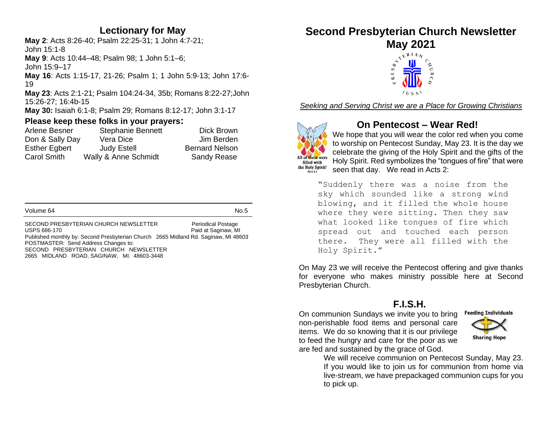#### **Lectionary for May**

**May 2**: Acts 8:26-40; Psalm 22:25-31; 1 John 4:7-21; John 15:1-8 **May 9**: Acts 10:44–48; Psalm 98; 1 John 5:1–6; John 15:9–17 **May 16**: Acts 1:15-17, 21-26; Psalm 1; 1 John 5:9-13; John 17:6- 19 **May 23**: Acts 2:1-21; Psalm 104:24-34, 35b; Romans 8:22-27;John 15:26-27; 16:4b-15

**May 30:** Isaiah 6:1-8; Psalm 29; Romans 8:12-17; John 3:1-17

#### **Please keep these folks in your prayers:**

| Arlene Besner        | <b>Stephanie Bennett</b> | Dick Brown            |
|----------------------|--------------------------|-----------------------|
| Don & Sally Day      | Vera Dice                | Jim Berden            |
| <b>Esther Egbert</b> | <b>Judy Estell</b>       | <b>Bernard Nelson</b> |
| <b>Carol Smith</b>   | Wally & Anne Schmidt     | <b>Sandy Rease</b>    |

SECOND PRESBYTERIAN CHURCH NEWSLETTER Periodical Postage USPS 686-170 **Paid at Saginaw, MI** Published monthly by: Second Presbyterian Church 2665 Midland Rd. Saginaw, MI 48603 POSTMASTER: Send Address Changes to: SECOND PRESBYTERIAN CHURCH NEWSLETTER 2665 MIDLAND ROAD, SAGINAW, MI. 48603-3448

# **Second Presbyterian Church Newsletter**



*Seeking and Serving Christ we are a Place for Growing Christians*



### **On Pentecost – Wear Red!**

We hope that you will wear the color red when you come to worship on Pentecost Sunday, May 23. It is the day we celebrate the giving of the Holy Spirit and the gifts of the Holy Spirit. Red symbolizes the "tongues of fire" that were seen that day. We read in Acts 2:

"Suddenly there was a noise from the sky which sounded like a strong wind blowing, and it filled the whole house where they were sitting. Then they saw what looked like tongues of fire which spread out and touched each person there. They were all filled with the Holy Spirit."

On May 23 we will receive the Pentecost offering and give thanks for everyone who makes ministry possible here at Second Presbyterian Church.

#### **F.I.S.H.**

On communion Sundays we invite you to bring non-perishable food items and personal care items. We do so knowing that it is our privilege to feed the hungry and care for the poor as we are fed and sustained by the grace of God.



We will receive communion on Pentecost Sunday, May 23. If you would like to join us for communion from home via live-stream, we have prepackaged communion cups for you to pick up.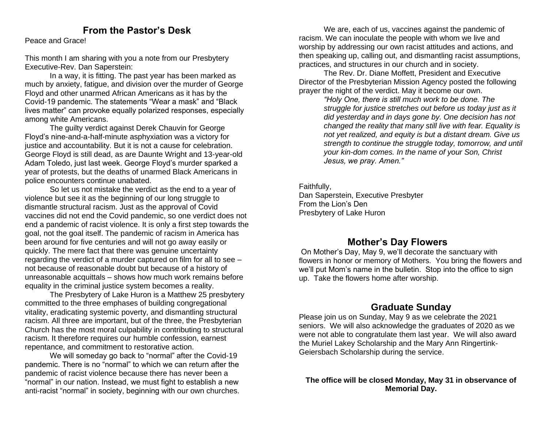#### **From the Pastor's Desk**

Peace and Grace!

This month I am sharing with you a note from our Presbytery Executive-Rev. Dan Saperstein:

In a way, it is fitting. The past year has been marked as much by anxiety, fatigue, and division over the murder of George Floyd and other unarmed African Americans as it has by the Covid-19 pandemic. The statements "Wear a mask" and "Black lives matter" can provoke equally polarized responses, especially among white Americans.

The guilty verdict against Derek Chauvin for George Floyd's nine-and-a-half-minute asphyxiation was a victory for justice and accountability. But it is not a cause for celebration. George Floyd is still dead, as are Daunte Wright and 13-year-old Adam Toledo, just last week. George Floyd's murder sparked a year of protests, but the deaths of unarmed Black Americans in police encounters continue unabated.

So let us not mistake the verdict as the end to a year of violence but see it as the beginning of our long struggle to dismantle structural racism. Just as the approval of Covid vaccines did not end the Covid pandemic, so one verdict does not end a pandemic of racist violence. It is only a first step towards the goal, not the goal itself. The pandemic of racism in America has been around for five centuries and will not go away easily or quickly. The mere fact that there was genuine uncertainty regarding the verdict of a murder captured on film for all to see – not because of reasonable doubt but because of a history of unreasonable acquittals – shows how much work remains before equality in the criminal justice system becomes a reality.

The Presbytery of Lake Huron is a Matthew 25 presbytery committed to the three emphases of building congregational vitality, eradicating systemic poverty, and dismantling structural racism. All three are important, but of the three, the Presbyterian Church has the most moral culpability in contributing to structural racism. It therefore requires our humble confession, earnest repentance, and commitment to restorative action.

We will someday go back to "normal" after the Covid-19 pandemic. There is no "normal" to which we can return after the pandemic of racist violence because there has never been a "normal" in our nation. Instead, we must fight to establish a new anti-racist "normal" in society, beginning with our own churches.

We are, each of us, vaccines against the pandemic of racism. We can inoculate the people with whom we live and worship by addressing our own racist attitudes and actions, and then speaking up, calling out, and dismantling racist assumptions, practices, and structures in our church and in society.

The Rev. Dr. Diane Moffett, President and Executive Director of the Presbyterian Mission Agency posted the following prayer the night of the verdict. May it become our own.

*"Holy One, there is still much work to be done. The struggle for justice stretches out before us today just as it did yesterday and in days gone by. One decision has not changed the reality that many still live with fear. Equality is not yet realized, and equity is but a distant dream. Give us strength to continue the struggle today, tomorrow, and until your kin-dom comes. In the name of your Son, Christ Jesus, we pray. Amen."*

Faithfully,

Dan Saperstein, Executive Presbyter From the Lion's Den Presbytery of Lake Huron

#### **Mother's Day Flowers**

On Mother's Day, May 9, we'll decorate the sanctuary with flowers in honor or memory of Mothers. You bring the flowers and we'll put Mom's name in the bulletin. Stop into the office to sign up. Take the flowers home after worship.

#### **Graduate Sunday**

Please join us on Sunday, May 9 as we celebrate the 2021 seniors. We will also acknowledge the graduates of 2020 as we were not able to congratulate them last year. We will also award the Muriel Lakey Scholarship and the Mary Ann Ringertink-Geiersbach Scholarship during the service.

**The office will be closed Monday, May 31 in observance of Memorial Day.**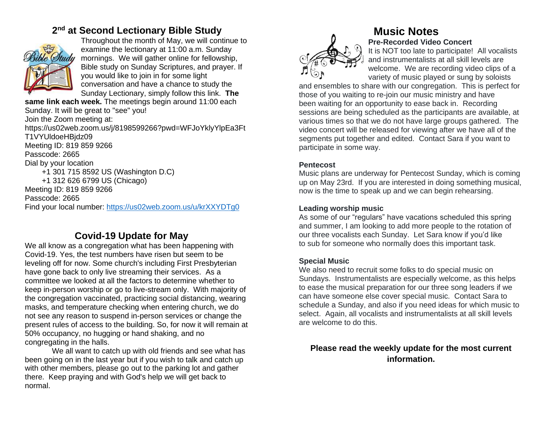# **2 nd at Second Lectionary Bible Study**



Throughout the month of May, we will continue to examine the lectionary at 11:00 a.m. Sunday mornings. We will gather online for fellowship, Bible study on Sunday Scriptures, and prayer. If you would like to join in for some light conversation and have a chance to study the Sunday Lectionary, simply follow this link. **The** 

**same link each week.** The meetings begin around 11:00 each Sunday. It will be great to "see" you! Join the Zoom meeting at: https://us02web.zoom.us/j/8198599266?pwd=WFJoYklyYlpEa3Ft T1VYUldoeHBjdz09 Meeting ID: 819 859 9266 Passcode: 2665 Dial by your location +1 301 715 8592 US (Washington D.C) +1 312 626 6799 US (Chicago) Meeting ID: 819 859 9266 Passcode: 2665 Find your local number:<https://us02web.zoom.us/u/krXXYDTg0>

# **Covid-19 Update for May**

We all know as a congregation what has been happening with Covid-19. Yes, the test numbers have risen but seem to be leveling off for now. Some church's including First Presbyterian have gone back to only live streaming their services. As a committee we looked at all the factors to determine whether to keep in-person worship or go to live-stream only. With majority of the congregation vaccinated, practicing social distancing, wearing masks, and temperature checking when entering church, we do not see any reason to suspend in-person services or change the present rules of access to the building. So, for now it will remain at 50% occupancy, no hugging or hand shaking, and no congregating in the halls.

We all want to catch up with old friends and see what has been going on in the last year but if you wish to talk and catch up with other members, please go out to the parking lot and gather there. Keep praying and with God's help we will get back to normal.

# **Music Notes Pre-Recorded Video Concert**

It is NOT too late to participate! All vocalists and instrumentalists at all skill levels are welcome. We are recording video clips of a variety of music played or sung by soloists

and ensembles to share with our congregation. This is perfect for those of you waiting to re-join our music ministry and have been waiting for an opportunity to ease back in. Recording sessions are being scheduled as the participants are available, at various times so that we do not have large groups gathered. The video concert will be released for viewing after we have all of the segments put together and edited. Contact Sara if you want to participate in some way.

#### **Pentecost**

Music plans are underway for Pentecost Sunday, which is coming up on May 23rd. If you are interested in doing something musical, now is the time to speak up and we can begin rehearsing.

#### **Leading worship music**

As some of our "regulars" have vacations scheduled this spring and summer, I am looking to add more people to the rotation of our three vocalists each Sunday. Let Sara know if you'd like to sub for someone who normally does this important task.

#### **Special Music**

We also need to recruit some folks to do special music on Sundays. Instrumentalists are especially welcome, as this helps to ease the musical preparation for our three song leaders if we can have someone else cover special music. Contact Sara to schedule a Sunday, and also if you need ideas for which music to select. Again, all vocalists and instrumentalists at all skill levels are welcome to do this.

#### **Please read the weekly update for the most current information.**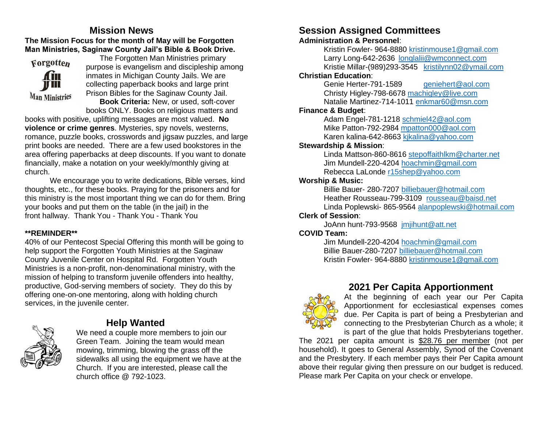#### **Mission News The Mission Focus for the month of May will be Forgotten Man Ministries, Saginaw County Jail's Bible & Book Drive.**



The Forgotten Man Ministries primary purpose is evangelism and discipleship among inmates in Michigan County Jails. We are collecting paperback books and large print Prison Bibles for the Saginaw County Jail. **Book Criteria:** New, or used, soft-cover

books ONLY. Books on religious matters and books with positive, uplifting messages are most valued. **No violence or crime genres**. Mysteries, spy novels, westerns, romance, puzzle books, crosswords and jigsaw puzzles, and large print books are needed. There are a few used bookstores in the area offering paperbacks at deep discounts. If you want to donate

financially, make a notation on your weekly/monthly giving at church.

We encourage you to write dedications, Bible verses, kind thoughts, etc., for these books. Praying for the prisoners and for this ministry is the most important thing we can do for them. Bring your books and put them on the table (in the jail) in the front hallway. Thank You - Thank You - Thank You

#### **\*\*REMINDER\*\***

40% of our Pentecost Special Offering this month will be going to help support the Forgotten Youth Ministries at the Saginaw County Juvenile Center on Hospital Rd. Forgotten Youth Ministries is a non-profit, non-denominational ministry, with the mission of helping to transform juvenile offenders into healthy, productive, God-serving members of society. They do this by offering one-on-one mentoring, along with holding church services, in the juvenile center.



### **Help Wanted**

We need a couple more members to join our Green Team. Joining the team would mean mowing, trimming, blowing the grass off the sidewalks all using the equipment we have at the Church. If you are interested, please call the church office @ 792-1023.

# **Session Assigned Committees**

#### **Administration & Personnel**:

Kristin Fowler- 964-8880 [kristinmouse1@gmail.com](mailto:kristinmouse1@gmail.com) Larry Long-642-2636 [longlalii@wmconnect.com](mailto:longlalii@wmconnect.com) Kristie Millar-(989)293-3545 [kristilynn02@ymail.com](mailto:kristilynn02@ymail.com)

#### **Christian Education**:

Genie Herter-791-1589 [geniehert@aol.com](mailto:geniehert@aol.com) Christy Higley-798-6678 [machigley@live.com](mailto:machigley@live.com) Natalie Martinez-714-1011 [enkmar60@msn.com](mailto:enkmar60@msn.com)

#### **Finance & Budget**:

Adam Engel-781-1218 [schmiel42@aol.com](mailto:schmiel42@aol.com) Mike Patton-792-2984 [mpatton000@aol.com](mailto:mpatton000@aol.com) Karen kalina-642-8663 kikalina@yahoo.com

#### **Stewardship & Mission**:

Linda Mattson-860-8616 [stepoffaithlkm@charter.net](mailto:stepoffaithlkm@charter.net) Jim Mundell-220-4204 [hoachmin@gmail.com](mailto:hoachmin@gmail.com) Rebecca LaLonde [r15shep@yahoo.com](mailto:r15shep@yahoo.com)

#### **Worship & Music:**

Billie Bauer- 280-7207 [billiebauer@hotmail.com](mailto:billiebauer@hotmail.com) Heather Rousseau-799-3109 [rousseau@baisd.net](mailto:rousseau@baisd.net) Linda Poplewski- 865-9564 [alanpoplewski@hotmail.com](mailto:alanpoplewski@hotmail.com)

#### **Clerk of Session**:

JoAnn hunt-793-9568 [jmjihunt@att.net](mailto:jmjihunt@att.net)

#### **COVID Team:**

Jim Mundell-220-4204 [hoachmin@gmail.com](mailto:hoachmin@gmail.com) Billie Bauer-280-7207 [billiebauer@hotmail.com](mailto:billiebauer@hotmail.com) Kristin Fowler- 964-8880 [kristinmouse1@gmail.com](mailto:kristinmouse1@gmail.com)



# **2021 Per Capita Apportionment**

At the beginning of each year our Per Capita Apportionment for ecclesiastical expenses comes due. Per Capita is part of being a Presbyterian and connecting to the Presbyterian Church as a whole; it is part of the glue that holds Presbyterians together.

The 2021 per capita amount is \$28.76 per member (not per household). It goes to General Assembly, Synod of the Covenant and the Presbytery. If each member pays their Per Capita amount above their regular giving then pressure on our budget is reduced. Please mark Per Capita on your check or envelope.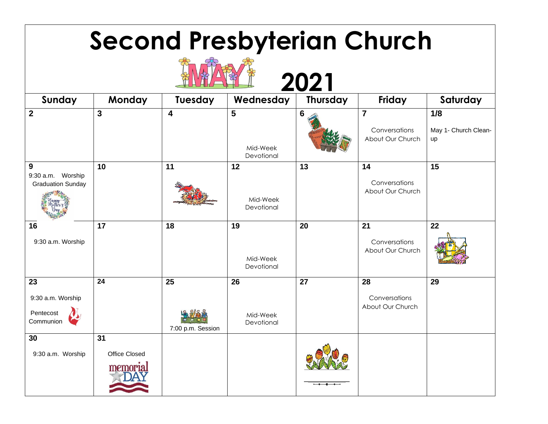